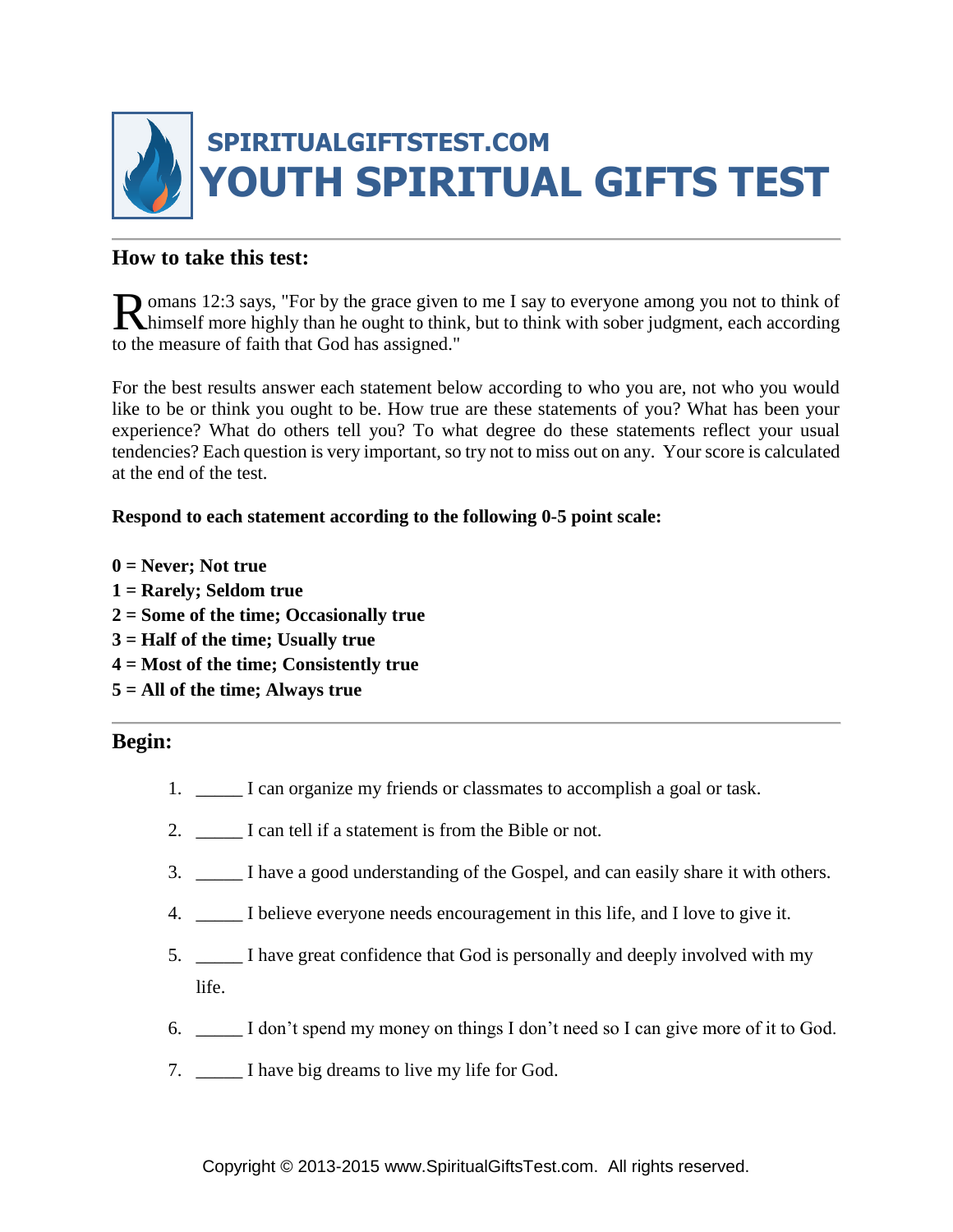

## **How to take this test:**

omans 12:3 says, "For by the grace given to me I say to everyone among you not to think of Romans 12:3 says, "For by the grace given to me I say to everyone among you not to think of himself more highly than he ought to think, but to think with sober judgment, each according to the measure of faith that God has assigned."

For the best results answer each statement below according to who you are, not who you would like to be or think you ought to be. How true are these statements of you? What has been your experience? What do others tell you? To what degree do these statements reflect your usual tendencies? Each question is very important, so try not to miss out on any. Your score is calculated at the end of the test.

### **Respond to each statement according to the following 0-5 point scale:**

- **0 = Never; Not true**
- **1 = Rarely; Seldom true**
- **2 = Some of the time; Occasionally true**
- **3 = Half of the time; Usually true**
- **4 = Most of the time; Consistently true**
- **5 = All of the time; Always true**

### **Begin:**

- 1. \_\_\_\_\_ I can organize my friends or classmates to accomplish a goal or task.
- 2. \_\_\_\_\_ I can tell if a statement is from the Bible or not.
- 3. \_\_\_\_\_ I have a good understanding of the Gospel, and can easily share it with others.
- 4. \_\_\_\_\_ I believe everyone needs encouragement in this life, and I love to give it.
- 5. \_\_\_\_\_ I have great confidence that God is personally and deeply involved with my life.
- 6. \_\_\_\_\_ I don't spend my money on things I don't need so I can give more of it to God.
- 7. \_\_\_\_\_ I have big dreams to live my life for God.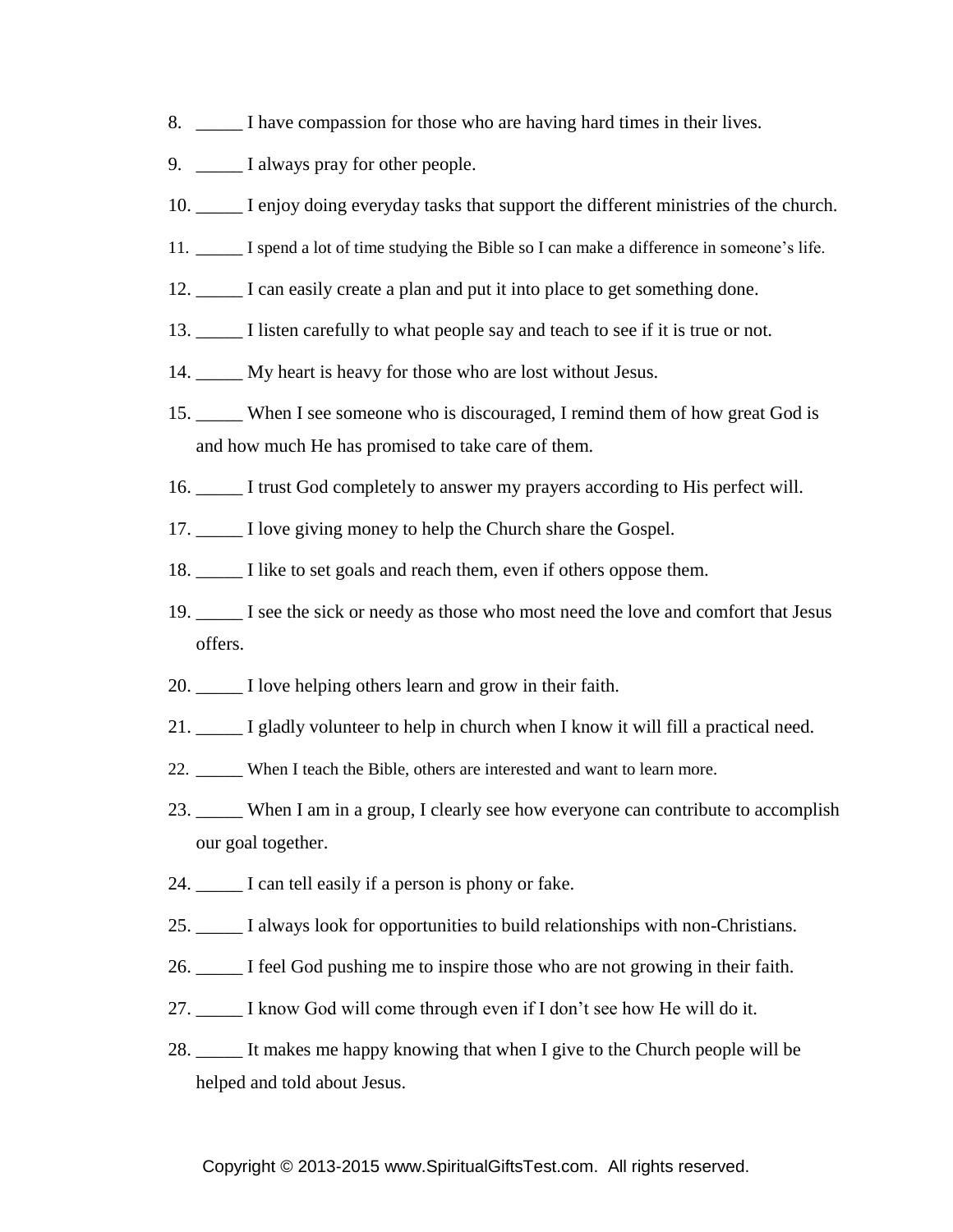- 8. \_\_\_\_\_ I have compassion for those who are having hard times in their lives.
- 9. \_\_\_\_\_\_\_ I always pray for other people.
- 10. \_\_\_\_\_ I enjoy doing everyday tasks that support the different ministries of the church.
- 11. \_\_\_\_\_ I spend a lot of time studying the Bible so I can make a difference in someone's life.
- 12. \_\_\_\_\_ I can easily create a plan and put it into place to get something done.
- 13. \_\_\_\_\_ I listen carefully to what people say and teach to see if it is true or not.
- 14. \_\_\_\_\_ My heart is heavy for those who are lost without Jesus.
- 15. \_\_\_\_\_ When I see someone who is discouraged, I remind them of how great God is and how much He has promised to take care of them.
- 16. \_\_\_\_\_ I trust God completely to answer my prayers according to His perfect will.
- 17. \_\_\_\_\_ I love giving money to help the Church share the Gospel.
- 18. \_\_\_\_\_ I like to set goals and reach them, even if others oppose them.
- 19. \_\_\_\_\_ I see the sick or needy as those who most need the love and comfort that Jesus offers.
- 20. \_\_\_\_\_ I love helping others learn and grow in their faith.
- 21. \_\_\_\_\_ I gladly volunteer to help in church when I know it will fill a practical need.
- 22. \_\_\_\_\_ When I teach the Bible, others are interested and want to learn more.
- 23. \_\_\_\_\_ When I am in a group, I clearly see how everyone can contribute to accomplish our goal together.
- 24. \_\_\_\_\_ I can tell easily if a person is phony or fake.
- 25. \_\_\_\_\_ I always look for opportunities to build relationships with non-Christians.
- 26. \_\_\_\_\_ I feel God pushing me to inspire those who are not growing in their faith.
- 27. \_\_\_\_\_ I know God will come through even if I don't see how He will do it.
- 28. \_\_\_\_\_ It makes me happy knowing that when I give to the Church people will be helped and told about Jesus.

#### Copyright © 2013-2015 www.SpiritualGiftsTest.com. All rights reserved.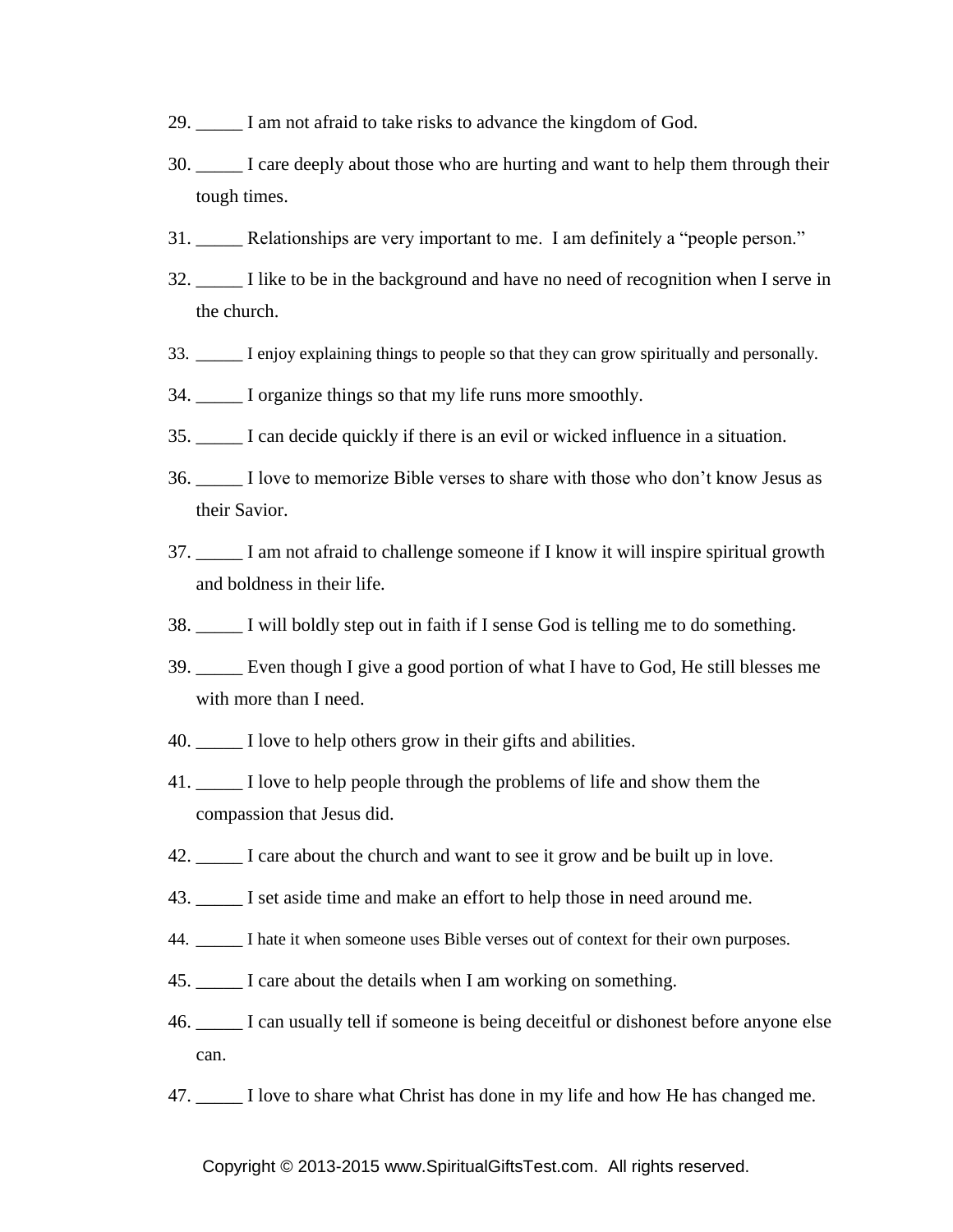- 29. \_\_\_\_\_ I am not afraid to take risks to advance the kingdom of God.
- 30. \_\_\_\_\_ I care deeply about those who are hurting and want to help them through their tough times.
- 31. \_\_\_\_\_ Relationships are very important to me. I am definitely a "people person."
- 32. \_\_\_\_\_ I like to be in the background and have no need of recognition when I serve in the church.
- 33. \_\_\_\_\_ I enjoy explaining things to people so that they can grow spiritually and personally.
- 34. \_\_\_\_\_ I organize things so that my life runs more smoothly.
- 35. \_\_\_\_\_ I can decide quickly if there is an evil or wicked influence in a situation.
- 36. \_\_\_\_\_ I love to memorize Bible verses to share with those who don't know Jesus as their Savior.
- 37. \_\_\_\_\_ I am not afraid to challenge someone if I know it will inspire spiritual growth and boldness in their life.
- 38. \_\_\_\_\_ I will boldly step out in faith if I sense God is telling me to do something.
- 39. \_\_\_\_\_ Even though I give a good portion of what I have to God, He still blesses me with more than I need.
- 40. \_\_\_\_\_ I love to help others grow in their gifts and abilities.
- 41. \_\_\_\_\_ I love to help people through the problems of life and show them the compassion that Jesus did.
- 42. \_\_\_\_\_ I care about the church and want to see it grow and be built up in love.
- 43. \_\_\_\_\_ I set aside time and make an effort to help those in need around me.
- 44. \_\_\_\_\_ I hate it when someone uses Bible verses out of context for their own purposes.
- 45. \_\_\_\_\_ I care about the details when I am working on something.
- 46. \_\_\_\_\_ I can usually tell if someone is being deceitful or dishonest before anyone else can.
- 47. \_\_\_\_\_ I love to share what Christ has done in my life and how He has changed me.

Copyright © 2013-2015 www.SpiritualGiftsTest.com. All rights reserved.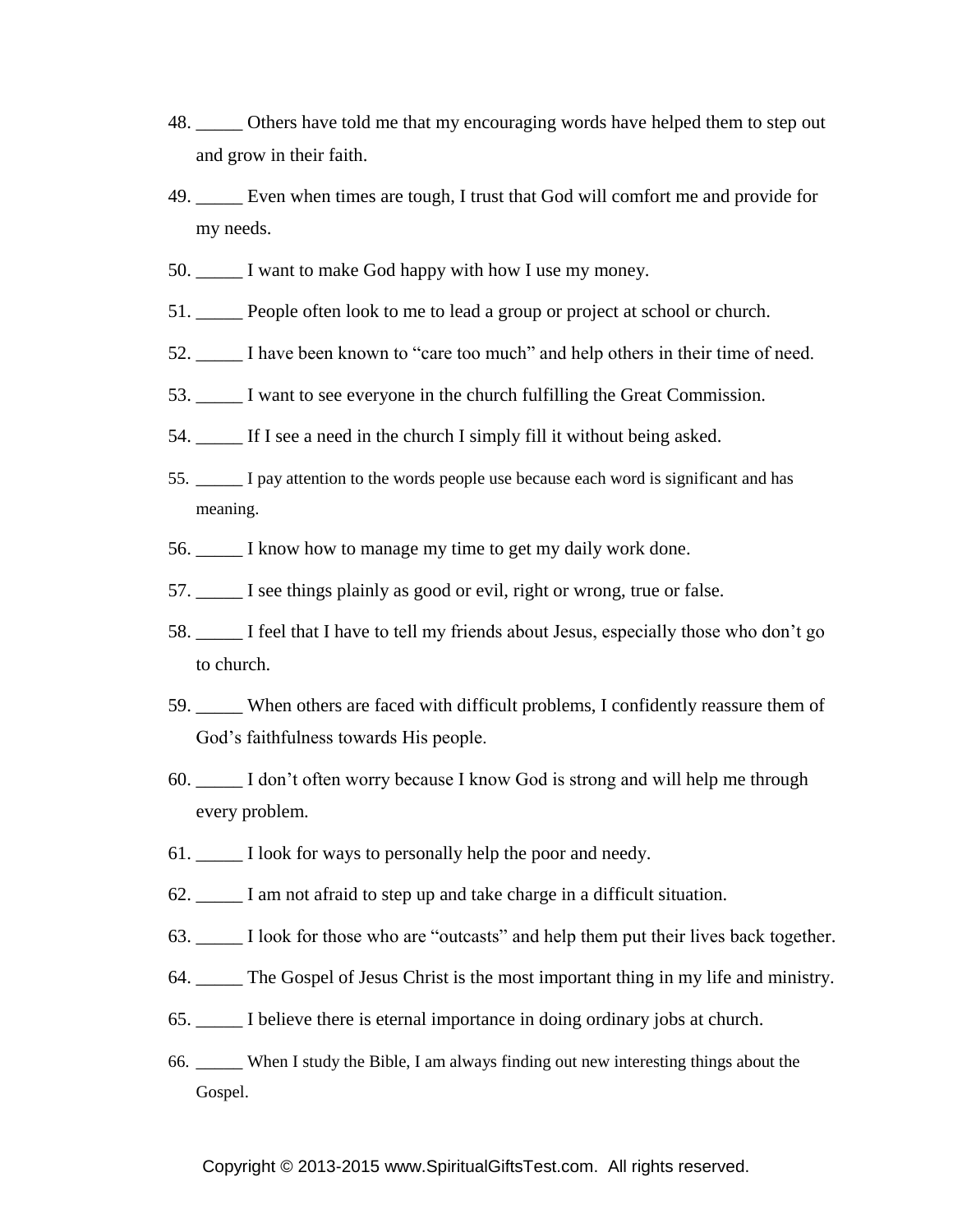- 48. \_\_\_\_\_ Others have told me that my encouraging words have helped them to step out and grow in their faith.
- 49. \_\_\_\_\_ Even when times are tough, I trust that God will comfort me and provide for my needs.
- 50. \_\_\_\_\_ I want to make God happy with how I use my money.
- 51. \_\_\_\_\_ People often look to me to lead a group or project at school or church.
- 52. \_\_\_\_\_ I have been known to "care too much" and help others in their time of need.
- 53. \_\_\_\_\_ I want to see everyone in the church fulfilling the Great Commission.
- 54. \_\_\_\_\_ If I see a need in the church I simply fill it without being asked.
- 55. \_\_\_\_\_ I pay attention to the words people use because each word is significant and has meaning.
- 56. \_\_\_\_\_ I know how to manage my time to get my daily work done.
- 57.  $\Box$  I see things plainly as good or evil, right or wrong, true or false.
- 58. \_\_\_\_\_ I feel that I have to tell my friends about Jesus, especially those who don't go to church.
- 59. \_\_\_\_\_ When others are faced with difficult problems, I confidently reassure them of God's faithfulness towards His people.
- 60. \_\_\_\_\_ I don't often worry because I know God is strong and will help me through every problem.
- 61.  $\Box$  I look for ways to personally help the poor and needy.
- 62. \_\_\_\_\_ I am not afraid to step up and take charge in a difficult situation.
- 63. \_\_\_\_\_ I look for those who are "outcasts" and help them put their lives back together.
- 64. \_\_\_\_\_ The Gospel of Jesus Christ is the most important thing in my life and ministry.
- 65. \_\_\_\_\_ I believe there is eternal importance in doing ordinary jobs at church.
- 66. \_\_\_\_\_ When I study the Bible, I am always finding out new interesting things about the Gospel.

#### Copyright © 2013-2015 www.SpiritualGiftsTest.com. All rights reserved.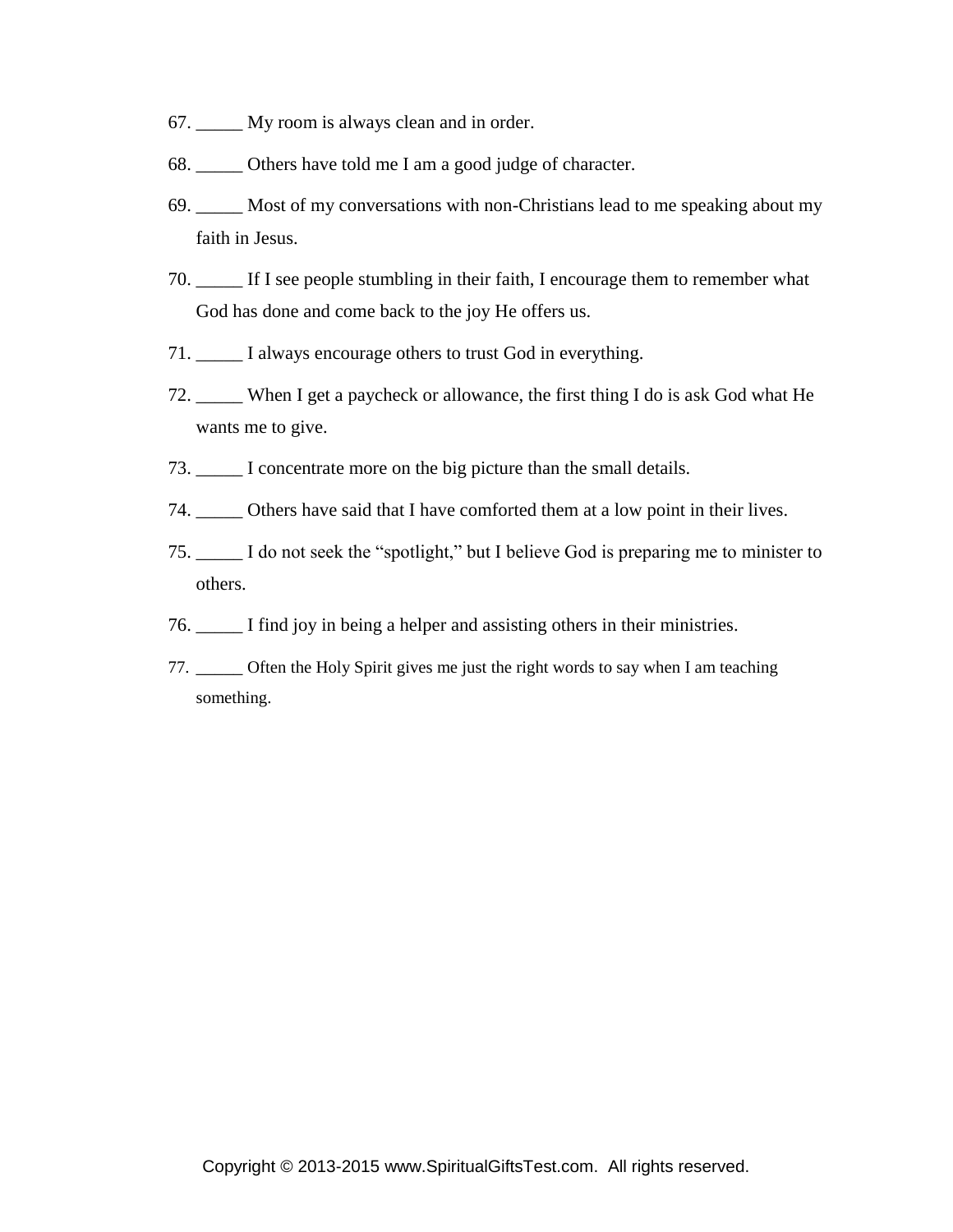- 67. \_\_\_\_\_ My room is always clean and in order.
- 68. Others have told me I am a good judge of character.
- 69. \_\_\_\_\_ Most of my conversations with non-Christians lead to me speaking about my faith in Jesus.
- 70. \_\_\_\_\_ If I see people stumbling in their faith, I encourage them to remember what God has done and come back to the joy He offers us.
- 71. \_\_\_\_\_ I always encourage others to trust God in everything.
- 72. \_\_\_\_\_ When I get a paycheck or allowance, the first thing I do is ask God what He wants me to give.
- 73. \_\_\_\_\_ I concentrate more on the big picture than the small details.
- 74. \_\_\_\_\_ Others have said that I have comforted them at a low point in their lives.
- 75. \_\_\_\_\_ I do not seek the "spotlight," but I believe God is preparing me to minister to others.
- 76. \_\_\_\_\_ I find joy in being a helper and assisting others in their ministries.
- 77. \_\_\_\_\_ Often the Holy Spirit gives me just the right words to say when I am teaching something.